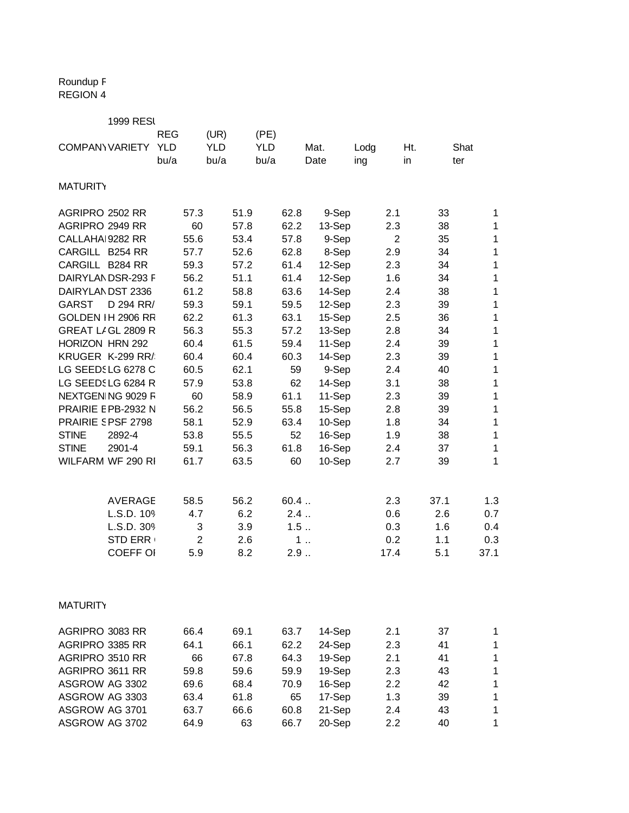## Roundup F REGION 4

|                        | <b>1999 RESI</b>    |            |                |            |      |            |      |        |      |                |      |             |
|------------------------|---------------------|------------|----------------|------------|------|------------|------|--------|------|----------------|------|-------------|
|                        |                     | <b>REG</b> |                | (UR)       |      | (PE)       |      |        |      |                |      |             |
| <b>COMPANY VARIETY</b> |                     | <b>YLD</b> |                | <b>YLD</b> |      | <b>YLD</b> |      | Mat.   | Lodg | Ht.            |      | Shat        |
|                        |                     | bu/a       |                | bu/a       |      | bu/a       |      | Date   | ing  | in             |      | ter         |
| <b>MATURITY</b>        |                     |            |                |            |      |            |      |        |      |                |      |             |
| AGRIPRO 2502 RR        |                     |            | 57.3           |            | 51.9 |            | 62.8 | 9-Sep  |      | 2.1            | 33   | 1           |
| AGRIPRO 2949 RR        |                     |            | 60             |            | 57.8 |            | 62.2 | 13-Sep |      | 2.3            | 38   | 1           |
| CALLAHA 9282 RR        |                     |            | 55.6           |            | 53.4 |            | 57.8 | 9-Sep  |      | $\overline{2}$ | 35   | 1           |
| CARGILL B254 RR        |                     |            | 57.7           |            | 52.6 |            | 62.8 | 8-Sep  |      | 2.9            | 34   | 1           |
| CARGILL B284 RR        |                     |            | 59.3           |            | 57.2 |            | 61.4 | 12-Sep |      | 2.3            | 34   | 1           |
|                        | DAIRYLANDSR-293 F   |            | 56.2           |            | 51.1 |            | 61.4 | 12-Sep |      | 1.6            | 34   | 1           |
| DAIRYLANDST 2336       |                     |            | 61.2           |            | 58.8 |            | 63.6 | 14-Sep |      | 2.4            | 38   | 1           |
| <b>GARST</b>           | D 294 RR/           |            | 59.3           |            | 59.1 |            | 59.5 | 12-Sep |      | 2.3            | 39   | $\mathbf 1$ |
|                        | GOLDEN IH 2906 RR   |            | 62.2           |            | 61.3 |            | 63.1 | 15-Sep |      | $2.5\,$        | 36   | $\mathbf 1$ |
|                        | GREAT LIGL 2809 R   |            | 56.3           |            | 55.3 |            | 57.2 | 13-Sep |      | 2.8            | 34   | $\mathbf 1$ |
| HORIZON HRN 292        |                     |            | 60.4           |            | 61.5 |            | 59.4 | 11-Sep |      | 2.4            | 39   | 1           |
|                        | KRUGER K-299 RR/    |            | 60.4           |            | 60.4 |            | 60.3 | 14-Sep |      | 2.3            | 39   | 1           |
|                        | LG SEEDSLG 6278 C   |            | 60.5           |            | 62.1 |            | 59   | 9-Sep  |      | 2.4            | 40   | 1           |
|                        | LG SEEDSLG 6284 R   |            | 57.9           |            | 53.8 |            | 62   | 14-Sep |      | 3.1            | 38   | 1           |
|                        | NEXTGEN NG 9029 F   |            | 60             |            | 58.9 |            | 61.1 | 11-Sep |      | 2.3            | 39   | 1           |
|                        | PRAIRIE E PB-2932 N |            | 56.2           |            | 56.5 |            | 55.8 | 15-Sep |      | 2.8            | 39   | $\mathbf 1$ |
| PRAIRIE SPSF 2798      |                     |            | 58.1           |            | 52.9 |            | 63.4 | 10-Sep |      | 1.8            | 34   | $\mathbf 1$ |
| <b>STINE</b>           | 2892-4              |            | 53.8           |            | 55.5 |            | 52   | 16-Sep |      | 1.9            | 38   | $\mathbf 1$ |
| <b>STINE</b>           | 2901-4              |            | 59.1           |            | 56.3 |            | 61.8 | 16-Sep |      | 2.4            | 37   | 1           |
|                        | WILFARM WF 290 RI   |            | 61.7           |            | 63.5 |            | 60   | 10-Sep |      | 2.7            | 39   | 1           |
|                        | <b>AVERAGE</b>      |            | 58.5           |            | 56.2 |            | 60.4 |        |      | 2.3            | 37.1 | 1.3         |
|                        | L.S.D. 109          |            | 4.7            |            | 6.2  |            | 2.4  |        |      | 0.6            | 2.6  | 0.7         |
|                        | L.S.D. 309          |            | 3              |            | 3.9  |            | 1.5  |        |      | 0.3            | 1.6  | 0.4         |
|                        | <b>STD ERR</b>      |            | $\overline{2}$ |            | 2.6  |            |      | 1      |      | 0.2            | 1.1  | 0.3         |
|                        | <b>COEFF OI</b>     |            | 5.9            |            | 8.2  |            | 2.9  |        |      | 17.4           | 5.1  | 37.1        |
| <b>MATURITY</b>        |                     |            |                |            |      |            |      |        |      |                |      |             |
|                        |                     |            |                |            |      |            |      |        |      |                |      |             |
| AGRIPRO 3083 RR        |                     |            | 66.4           |            | 69.1 |            | 63.7 | 14-Sep |      | 2.1            | 37   | 1           |
| AGRIPRO 3385 RR        |                     |            | 64.1           |            | 66.1 |            | 62.2 | 24-Sep |      | 2.3            | 41   | 1           |
| AGRIPRO 3510 RR        |                     |            | 66             |            | 67.8 |            | 64.3 | 19-Sep |      | 2.1            | 41   | 1           |
| AGRIPRO 3611 RR        |                     |            | 59.8           |            | 59.6 |            | 59.9 | 19-Sep |      | 2.3            | 43   | 1           |
| ASGROW AG 3302         |                     |            | 69.6           |            | 68.4 |            | 70.9 | 16-Sep |      | 2.2            | 42   | 1           |
| ASGROW AG 3303         |                     |            | 63.4           |            | 61.8 |            | 65   | 17-Sep |      | 1.3            | 39   | 1           |
| ASGROW AG 3701         |                     |            | 63.7           |            | 66.6 |            | 60.8 | 21-Sep |      | 2.4            | 43   | 1           |
| ASGROW AG 3702         |                     |            | 64.9           |            | 63   |            | 66.7 | 20-Sep |      | 2.2            | 40   | 1           |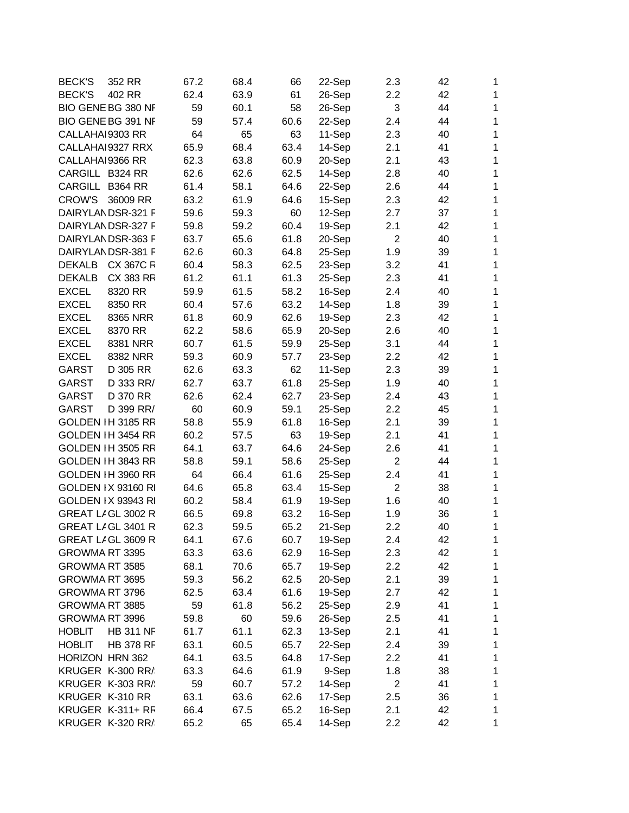| <b>BECK'S</b>    | 352 RR                    | 67.2 | 68.4 | 66   | 22-Sep | 2.3            | 42 | 1            |
|------------------|---------------------------|------|------|------|--------|----------------|----|--------------|
| <b>BECK'S</b>    | 402 RR                    | 62.4 | 63.9 | 61   | 26-Sep | 2.2            | 42 | 1            |
|                  | BIO GENE BG 380 NF        | 59   | 60.1 | 58   | 26-Sep | 3              | 44 | 1            |
|                  | BIO GENE BG 391 NF        | 59   | 57.4 | 60.6 | 22-Sep | 2.4            | 44 | 1            |
| CALLAHAI 9303 RR |                           | 64   | 65   | 63   | 11-Sep | 2.3            | 40 | 1            |
|                  | CALLAHA 9327 RRX          | 65.9 | 68.4 | 63.4 | 14-Sep | 2.1            | 41 | 1            |
| CALLAHAI 9366 RR |                           | 62.3 | 63.8 | 60.9 | 20-Sep | 2.1            | 43 | 1            |
| CARGILL B324 RR  |                           | 62.6 | 62.6 | 62.5 | 14-Sep | 2.8            | 40 | 1            |
| CARGILL B364 RR  |                           | 61.4 | 58.1 | 64.6 | 22-Sep | 2.6            | 44 | 1            |
| <b>CROW'S</b>    | 36009 RR                  | 63.2 | 61.9 | 64.6 | 15-Sep | 2.3            | 42 | $\mathbf{1}$ |
|                  | DAIRYLANDSR-321 F         | 59.6 | 59.3 | 60   | 12-Sep | 2.7            | 37 | 1            |
|                  | DAIRYLAN DSR-327 F        | 59.8 | 59.2 | 60.4 | 19-Sep | 2.1            | 42 | 1            |
|                  | DAIRYLANDSR-363 F         | 63.7 | 65.6 | 61.8 | 20-Sep | $\overline{2}$ | 40 | 1            |
|                  | DAIRYLANDSR-381 F         | 62.6 | 60.3 | 64.8 | 25-Sep | 1.9            | 39 | 1            |
| <b>DEKALB</b>    | <b>CX 367C R</b>          | 60.4 | 58.3 | 62.5 | 23-Sep | 3.2            | 41 | 1            |
| <b>DEKALB</b>    | CX 383 RR                 | 61.2 | 61.1 | 61.3 | 25-Sep | 2.3            | 41 | 1            |
| <b>EXCEL</b>     | 8320 RR                   | 59.9 | 61.5 | 58.2 | 16-Sep | 2.4            | 40 | 1            |
| <b>EXCEL</b>     | 8350 RR                   | 60.4 | 57.6 | 63.2 | 14-Sep | 1.8            | 39 | 1            |
| <b>EXCEL</b>     | 8365 NRR                  | 61.8 | 60.9 | 62.6 | 19-Sep | 2.3            | 42 | 1            |
| <b>EXCEL</b>     | 8370 RR                   | 62.2 | 58.6 | 65.9 | 20-Sep | 2.6            | 40 | 1            |
| <b>EXCEL</b>     | 8381 NRR                  | 60.7 | 61.5 | 59.9 | 25-Sep | 3.1            | 44 | 1            |
| <b>EXCEL</b>     | 8382 NRR                  | 59.3 | 60.9 | 57.7 | 23-Sep | 2.2            | 42 | 1            |
| <b>GARST</b>     | D 305 RR                  | 62.6 | 63.3 | 62   | 11-Sep | 2.3            | 39 | 1            |
| <b>GARST</b>     | D 333 RR/                 | 62.7 | 63.7 | 61.8 | 25-Sep | 1.9            | 40 | 1            |
| <b>GARST</b>     | D 370 RR                  | 62.6 | 62.4 | 62.7 | 23-Sep | 2.4            | 43 | 1            |
| <b>GARST</b>     |                           | 60   |      |      | 25-Sep |                | 45 | $\mathbf{1}$ |
|                  | D 399 RR/                 |      | 60.9 | 59.1 |        | 2.2            |    |              |
|                  | GOLDEN IH 3185 RR         | 58.8 | 55.9 | 61.8 | 16-Sep | 2.1            | 39 | 1            |
|                  | GOLDEN IH 3454 RR         | 60.2 | 57.5 | 63   | 19-Sep | 2.1            | 41 | 1            |
|                  | GOLDEN IH 3505 RR         | 64.1 | 63.7 | 64.6 | 24-Sep | 2.6            | 41 | 1            |
|                  | GOLDEN IH 3843 RR         | 58.8 | 59.1 | 58.6 | 25-Sep | $\overline{2}$ | 44 | 1            |
|                  | GOLDEN IH 3960 RR         | 64   | 66.4 | 61.6 | 25-Sep | 2.4            | 41 | 1            |
|                  | <b>GOLDEN IX 93160 RI</b> | 64.6 | 65.8 | 63.4 | 15-Sep | $\overline{2}$ | 38 | 1            |
|                  | <b>GOLDEN IX 93943 RI</b> | 60.2 | 58.4 | 61.9 | 19-Sep | 1.6            | 40 | 1            |
|                  | GREAT LIGL 3002 R         | 66.5 | 69.8 | 63.2 | 16-Sep | 1.9            | 36 | 1            |
|                  | GREAT LIGL 3401 R         | 62.3 | 59.5 | 65.2 | 21-Sep | 2.2            | 40 | 1            |
|                  | GREAT LIGL 3609 R         | 64.1 | 67.6 | 60.7 | 19-Sep | 2.4            | 42 | 1            |
| GROWMA RT 3395   |                           | 63.3 | 63.6 | 62.9 | 16-Sep | 2.3            | 42 | 1            |
| GROWMA RT 3585   |                           | 68.1 | 70.6 | 65.7 | 19-Sep | 2.2            | 42 | $\mathbf{1}$ |
| GROWMA RT 3695   |                           | 59.3 | 56.2 | 62.5 | 20-Sep | 2.1            | 39 | $\mathbf 1$  |
| GROWMA RT 3796   |                           | 62.5 | 63.4 | 61.6 | 19-Sep | 2.7            | 42 | $\mathbf{1}$ |
| GROWMA RT 3885   |                           | 59   | 61.8 | 56.2 | 25-Sep | 2.9            | 41 | 1            |
| GROWMA RT 3996   |                           | 59.8 | 60   | 59.6 | 26-Sep | 2.5            | 41 | $\mathbf{1}$ |
| <b>HOBLIT</b>    | <b>HB 311 NF</b>          | 61.7 | 61.1 | 62.3 | 13-Sep | 2.1            | 41 | 1            |
| <b>HOBLIT</b>    | <b>HB 378 RF</b>          | 63.1 | 60.5 | 65.7 | 22-Sep | 2.4            | 39 | $\mathbf{1}$ |
| HORIZON HRN 362  |                           | 64.1 | 63.5 | 64.8 | 17-Sep | 2.2            | 41 | $\mathbf{1}$ |
|                  | KRUGER K-300 RR/          | 63.3 | 64.6 | 61.9 | 9-Sep  | 1.8            | 38 | 1            |
|                  | KRUGER K-303 RR/          | 59   | 60.7 | 57.2 | 14-Sep | $\overline{2}$ | 41 | 1            |
| KRUGER K-310 RR  |                           | 63.1 | 63.6 | 62.6 | 17-Sep | 2.5            | 36 | $\mathbf 1$  |
|                  | KRUGER K-311+ RF          | 66.4 | 67.5 | 65.2 | 16-Sep | 2.1            | 42 | 1            |
|                  | KRUGER K-320 RR/          | 65.2 | 65   | 65.4 | 14-Sep | 2.2            | 42 | $\mathbf 1$  |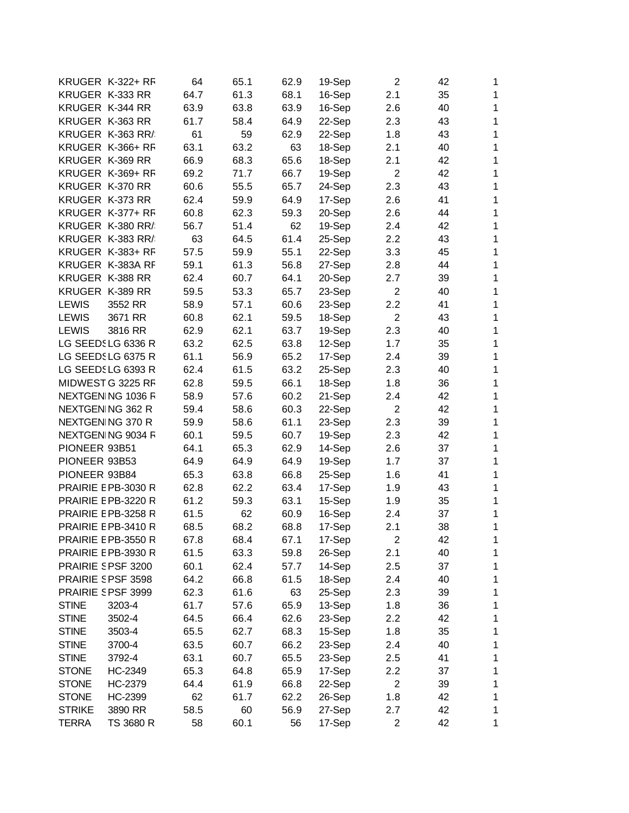|               | KRUGER K-322+ RF    | 64   | 65.1 | 62.9 | 19-Sep | 2                       | 42 | $\mathbf{1}$ |
|---------------|---------------------|------|------|------|--------|-------------------------|----|--------------|
|               | KRUGER K-333 RR     | 64.7 | 61.3 | 68.1 | 16-Sep | 2.1                     | 35 | 1            |
|               | KRUGER K-344 RR     | 63.9 | 63.8 | 63.9 | 16-Sep | 2.6                     | 40 | $\mathbf{1}$ |
|               | KRUGER K-363 RR     | 61.7 | 58.4 | 64.9 | 22-Sep | 2.3                     | 43 | 1            |
|               | KRUGER K-363 RR/    | 61   | 59   | 62.9 | 22-Sep | 1.8                     | 43 | $\mathbf 1$  |
|               | KRUGER K-366+ RF    | 63.1 | 63.2 | 63   | 18-Sep | 2.1                     | 40 | 1            |
|               | KRUGER K-369 RR     | 66.9 | 68.3 | 65.6 | 18-Sep | 2.1                     | 42 | $\mathbf 1$  |
|               | KRUGER K-369+ RF    | 69.2 | 71.7 | 66.7 | 19-Sep | 2                       | 42 | $\mathbf{1}$ |
|               | KRUGER K-370 RR     | 60.6 | 55.5 | 65.7 | 24-Sep | 2.3                     | 43 | $\mathbf{1}$ |
|               | KRUGER K-373 RR     | 62.4 | 59.9 | 64.9 | 17-Sep | 2.6                     | 41 | $\mathbf{1}$ |
|               | KRUGER K-377+ RF    | 60.8 | 62.3 | 59.3 | 20-Sep | 2.6                     | 44 | $\mathbf{1}$ |
|               | KRUGER K-380 RR/    | 56.7 | 51.4 | 62   | 19-Sep | 2.4                     | 42 | 1            |
|               | KRUGER K-383 RR/    | 63   | 64.5 | 61.4 | 25-Sep | 2.2                     | 43 | $\mathbf 1$  |
|               | KRUGER K-383+ RF    | 57.5 | 59.9 | 55.1 | 22-Sep | 3.3                     | 45 | 1            |
|               | KRUGER K-383A RF    | 59.1 | 61.3 | 56.8 | 27-Sep | 2.8                     | 44 | 1            |
|               | KRUGER K-388 RR     | 62.4 | 60.7 | 64.1 | 20-Sep | 2.7                     | 39 | 1            |
|               | KRUGER K-389 RR     | 59.5 | 53.3 | 65.7 | 23-Sep | $\overline{2}$          | 40 | $\mathbf{1}$ |
| <b>LEWIS</b>  | 3552 RR             | 58.9 | 57.1 | 60.6 | 23-Sep | 2.2                     | 41 | $\mathbf{1}$ |
| <b>LEWIS</b>  | 3671 RR             | 60.8 | 62.1 | 59.5 | 18-Sep | $\overline{2}$          | 43 | $\mathbf 1$  |
| <b>LEWIS</b>  | 3816 RR             | 62.9 | 62.1 | 63.7 | 19-Sep | 2.3                     | 40 | 1            |
|               | LG SEEDSLG 6336 R   | 63.2 | 62.5 | 63.8 | 12-Sep | 1.7                     | 35 | $\mathbf 1$  |
|               | LG SEEDSLG 6375 R   | 61.1 | 56.9 | 65.2 | 17-Sep | 2.4                     | 39 | 1            |
|               | LG SEEDSLG 6393 R   | 62.4 | 61.5 | 63.2 | 25-Sep | 2.3                     | 40 | $\mathbf 1$  |
|               | MIDWEST G 3225 RF   | 62.8 | 59.5 | 66.1 | 18-Sep | 1.8                     | 36 | 1            |
|               | NEXTGENING 1036 F   | 58.9 | 57.6 | 60.2 | 21-Sep | 2.4                     | 42 | $\mathbf{1}$ |
|               | NEXTGEN NG 362 R    | 59.4 | 58.6 | 60.3 | 22-Sep | 2                       | 42 | $\mathbf{1}$ |
|               | NEXTGEN NG 370 R    | 59.9 | 58.6 | 61.1 | 23-Sep | 2.3                     | 39 | $\mathbf 1$  |
|               | NEXTGEN NG 9034 R   | 60.1 | 59.5 | 60.7 | 19-Sep | 2.3                     | 42 | 1            |
| PIONEER 93B51 |                     | 64.1 | 65.3 | 62.9 | 14-Sep | 2.6                     | 37 | 1            |
| PIONEER 93B53 |                     | 64.9 | 64.9 | 64.9 | 19-Sep | 1.7                     | 37 | 1            |
| PIONEER 93B84 |                     | 65.3 | 63.8 | 66.8 | 25-Sep | 1.6                     | 41 | 1            |
|               | PRAIRIE E PB-3030 R | 62.8 | 62.2 | 63.4 | 17-Sep | 1.9                     | 43 | 1            |
|               | PRAIRIE E PB-3220 R | 61.2 | 59.3 | 63.1 | 15-Sep | 1.9                     | 35 | $\mathbf 1$  |
|               | PRAIRIE E PB-3258 R | 61.5 | 62   | 60.9 | 16-Sep | 2.4                     | 37 | 1            |
|               | PRAIRIE E PB-3410 R | 68.5 | 68.2 | 68.8 | 17-Sep | 2.1                     | 38 | $\mathbf 1$  |
|               | PRAIRIE E PB-3550 R | 67.8 | 68.4 | 67.1 | 17-Sep | $\overline{2}$          | 42 | $\mathbf 1$  |
|               | PRAIRIE E PB-3930 R | 61.5 | 63.3 | 59.8 | 26-Sep | 2.1                     | 40 | 1            |
|               | PRAIRIE SPSF 3200   | 60.1 | 62.4 | 57.7 | 14-Sep | 2.5                     | 37 | $\mathbf 1$  |
|               | PRAIRIE SPSF 3598   | 64.2 | 66.8 | 61.5 | 18-Sep | 2.4                     | 40 | $\mathbf 1$  |
|               | PRAIRIE SPSF 3999   | 62.3 | 61.6 | 63   | 25-Sep | 2.3                     | 39 | $\mathbf{1}$ |
| <b>STINE</b>  | 3203-4              | 61.7 | 57.6 | 65.9 | 13-Sep | 1.8                     | 36 | $\mathbf{1}$ |
| <b>STINE</b>  | 3502-4              | 64.5 | 66.4 | 62.6 | 23-Sep | 2.2                     | 42 | $\mathbf{1}$ |
| <b>STINE</b>  | 3503-4              | 65.5 | 62.7 | 68.3 | 15-Sep | 1.8                     | 35 | $\mathbf 1$  |
| <b>STINE</b>  | 3700-4              | 63.5 | 60.7 | 66.2 | 23-Sep | 2.4                     | 40 | 1            |
| <b>STINE</b>  | 3792-4              | 63.1 | 60.7 | 65.5 | 23-Sep | 2.5                     | 41 | 1            |
| <b>STONE</b>  | HC-2349             | 65.3 | 64.8 | 65.9 | 17-Sep | 2.2                     | 37 | $\mathbf 1$  |
| <b>STONE</b>  | HC-2379             | 64.4 | 61.9 | 66.8 | 22-Sep | $\overline{2}$          | 39 | $\mathbf 1$  |
| <b>STONE</b>  | HC-2399             | 62   | 61.7 | 62.2 | 26-Sep | 1.8                     | 42 | $\mathbf 1$  |
| <b>STRIKE</b> | 3890 RR             | 58.5 | 60   | 56.9 | 27-Sep | 2.7                     | 42 | $\mathbf{1}$ |
| <b>TERRA</b>  | TS 3680 R           | 58   | 60.1 | 56   | 17-Sep | $\overline{\mathbf{c}}$ | 42 | $\mathbf{1}$ |
|               |                     |      |      |      |        |                         |    |              |